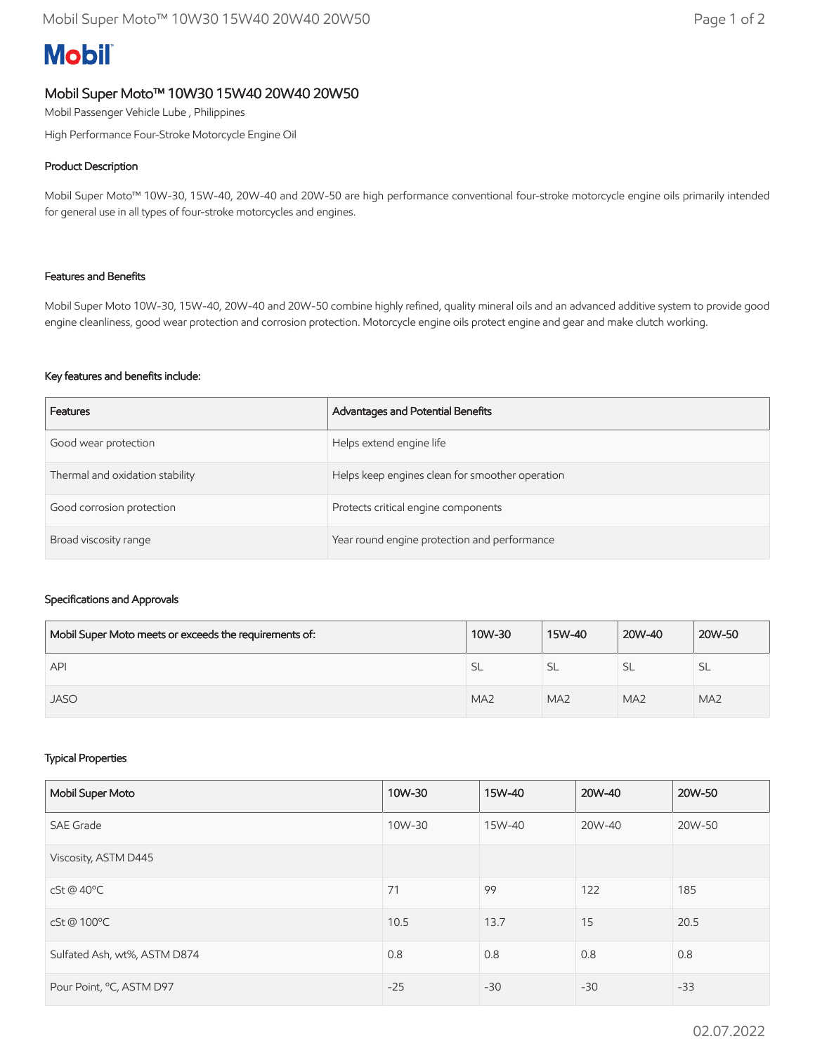# **Mobil**

## Mobil Super Moto™ 10W30 15W40 20W40 20W50

Mobil Passenger Vehicle Lube , Philippines

High Performance Four-Stroke Motorcycle Engine Oil

#### Product Description

Mobil Super Moto™ 10W-30, 15W-40, 20W-40 and 20W-50 are high performance conventional four-stroke motorcycle engine oils primarily intended for general use in all types of four-stroke motorcycles and engines.

#### Features and Benefits

Mobil Super Moto 10W-30, 15W-40, 20W-40 and 20W-50 combine highly refined, quality mineral oils and an advanced additive system to provide good engine cleanliness, good wear protection and corrosion protection. Motorcycle engine oils protect engine and gear and make clutch working.

#### Key features and benefits include:

| Features                        | Advantages and Potential Benefits               |
|---------------------------------|-------------------------------------------------|
| Good wear protection            | Helps extend engine life                        |
| Thermal and oxidation stability | Helps keep engines clean for smoother operation |
| Good corrosion protection       | Protects critical engine components             |
| Broad viscosity range           | Year round engine protection and performance    |

### Specifications and Approvals

| Mobil Super Moto meets or exceeds the requirements of: | 10W-30          | 15W-40          | 20W-40          | 20W-50          |
|--------------------------------------------------------|-----------------|-----------------|-----------------|-----------------|
| API                                                    | <b>SL</b>       | <b>SL</b>       | 5L              | SL.             |
| <b>JASO</b>                                            | MA <sub>2</sub> | MA <sub>2</sub> | MA <sub>2</sub> | MA <sub>2</sub> |

#### Typical Properties

| Mobil Super Moto             | 10W-30 | 15W-40 | 20W-40 | 20W-50 |
|------------------------------|--------|--------|--------|--------|
| <b>SAE Grade</b>             | 10W-30 | 15W-40 | 20W-40 | 20W-50 |
| Viscosity, ASTM D445         |        |        |        |        |
| cSt@40°C                     | 71     | 99     | 122    | 185    |
| cSt@100°C                    | 10.5   | 13.7   | 15     | 20.5   |
| Sulfated Ash, wt%, ASTM D874 | 0.8    | 0.8    | 0.8    | 0.8    |
| Pour Point, °C, ASTM D97     | $-25$  | $-30$  | $-30$  | $-33$  |